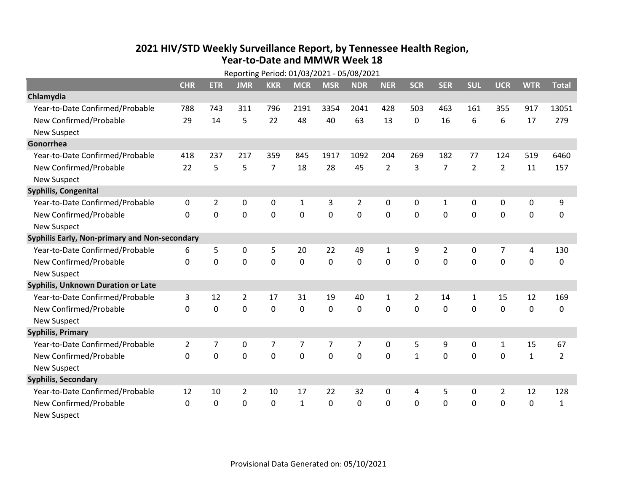## **2021 HIV /STD Weekly Surveillance Report, by Tennessee Health Region, Year‐to‐Date and MMWR Week 18**

| Reporting Period: 01/03/2021 - 05/08/2021     |                |                |                |                |              |                |                |                |                |                |                |                |              |                |
|-----------------------------------------------|----------------|----------------|----------------|----------------|--------------|----------------|----------------|----------------|----------------|----------------|----------------|----------------|--------------|----------------|
|                                               | <b>CHR</b>     | <b>ETR</b>     | <b>JMR</b>     | <b>KKR</b>     | <b>MCR</b>   | <b>MSR</b>     | <b>NDR</b>     | <b>NER</b>     | <b>SCR</b>     | <b>SER</b>     | <b>SUL</b>     | <b>UCR</b>     | <b>WTR</b>   | <b>Total</b>   |
| Chlamydia                                     |                |                |                |                |              |                |                |                |                |                |                |                |              |                |
| Year-to-Date Confirmed/Probable               | 788            | 743            | 311            | 796            | 2191         | 3354           | 2041           | 428            | 503            | 463            | 161            | 355            | 917          | 13051          |
| New Confirmed/Probable                        | 29             | 14             | 5              | 22             | 48           | 40             | 63             | 13             | $\Omega$       | 16             | 6              | 6              | 17           | 279            |
| <b>New Suspect</b>                            |                |                |                |                |              |                |                |                |                |                |                |                |              |                |
| Gonorrhea                                     |                |                |                |                |              |                |                |                |                |                |                |                |              |                |
| Year-to-Date Confirmed/Probable               | 418            | 237            | 217            | 359            | 845          | 1917           | 1092           | 204            | 269            | 182            | 77             | 124            | 519          | 6460           |
| New Confirmed/Probable                        | 22             | 5              | 5              | $\overline{7}$ | 18           | 28             | 45             | $\overline{2}$ | 3              | $\overline{7}$ | $\overline{2}$ | $\overline{2}$ | 11           | 157            |
| <b>New Suspect</b>                            |                |                |                |                |              |                |                |                |                |                |                |                |              |                |
| Syphilis, Congenital                          |                |                |                |                |              |                |                |                |                |                |                |                |              |                |
| Year-to-Date Confirmed/Probable               | 0              | $\overline{2}$ | 0              | $\pmb{0}$      | $\mathbf{1}$ | 3              | $\overline{2}$ | 0              | 0              | $\mathbf{1}$   | 0              | $\mathbf 0$    | 0            | 9              |
| New Confirmed/Probable                        | 0              | $\mathbf 0$    | 0              | $\mathbf 0$    | 0            | $\mathbf 0$    | 0              | 0              | 0              | $\mathbf 0$    | 0              | $\mathbf 0$    | 0            | 0              |
| <b>New Suspect</b>                            |                |                |                |                |              |                |                |                |                |                |                |                |              |                |
| Syphilis Early, Non-primary and Non-secondary |                |                |                |                |              |                |                |                |                |                |                |                |              |                |
| Year-to-Date Confirmed/Probable               | 6              | 5              | 0              | 5              | 20           | 22             | 49             | $\mathbf{1}$   | 9              | $\overline{2}$ | 0              | $\overline{7}$ | 4            | 130            |
| New Confirmed/Probable                        | $\Omega$       | $\mathbf 0$    | 0              | $\mathbf 0$    | 0            | $\mathbf 0$    | 0              | 0              | 0              | $\mathbf 0$    | 0              | $\mathbf 0$    | 0            | 0              |
| <b>New Suspect</b>                            |                |                |                |                |              |                |                |                |                |                |                |                |              |                |
| <b>Syphilis, Unknown Duration or Late</b>     |                |                |                |                |              |                |                |                |                |                |                |                |              |                |
| Year-to-Date Confirmed/Probable               | 3              | 12             | $\overline{2}$ | 17             | 31           | 19             | 40             | $\mathbf{1}$   | $\overline{2}$ | 14             | $\mathbf{1}$   | 15             | 12           | 169            |
| New Confirmed/Probable                        | $\Omega$       | $\Omega$       | 0              | $\Omega$       | $\Omega$     | $\mathbf 0$    | 0              | $\Omega$       | $\Omega$       | 0              | 0              | $\mathbf 0$    | 0            | $\mathbf{0}$   |
| <b>New Suspect</b>                            |                |                |                |                |              |                |                |                |                |                |                |                |              |                |
| <b>Syphilis, Primary</b>                      |                |                |                |                |              |                |                |                |                |                |                |                |              |                |
| Year-to-Date Confirmed/Probable               | $\overline{2}$ | $\overline{7}$ | 0              | $\overline{7}$ | 7            | $\overline{7}$ | $\overline{7}$ | 0              | 5              | 9              | 0              | $\mathbf{1}$   | 15           | 67             |
| New Confirmed/Probable                        | $\Omega$       | $\Omega$       | 0              | $\mathbf 0$    | 0            | $\mathbf 0$    | 0              | $\Omega$       | $\mathbf{1}$   | $\mathbf{0}$   | 0              | 0              | $\mathbf{1}$ | $\overline{2}$ |
| <b>New Suspect</b>                            |                |                |                |                |              |                |                |                |                |                |                |                |              |                |
| <b>Syphilis, Secondary</b>                    |                |                |                |                |              |                |                |                |                |                |                |                |              |                |
| Year-to-Date Confirmed/Probable               | 12             | 10             | $\overline{2}$ | 10             | 17           | 22             | 32             | 0              | 4              | 5              | 0              | $\overline{2}$ | 12           | 128            |
| New Confirmed/Probable                        | 0              | $\mathbf 0$    | 0              | $\mathbf 0$    | $\mathbf{1}$ | $\mathbf 0$    | 0              | 0              | 0              | $\mathbf 0$    | $\mathbf 0$    | $\mathbf 0$    | 0            | $\mathbf{1}$   |
| <b>New Suspect</b>                            |                |                |                |                |              |                |                |                |                |                |                |                |              |                |